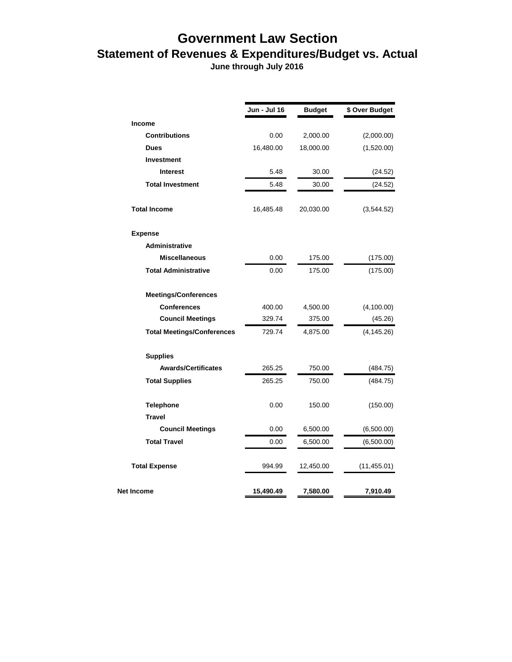## **Government Law Section Statement of Revenues & Expenditures/Budget vs. Actual**

 **June through July 2016**

|                                   | Jun - Jul 16 | <b>Budget</b> | \$ Over Budget |
|-----------------------------------|--------------|---------------|----------------|
| <b>Income</b>                     |              |               |                |
| <b>Contributions</b>              | 0.00         | 2,000.00      | (2,000.00)     |
| <b>Dues</b>                       | 16,480.00    | 18,000.00     | (1,520.00)     |
| <b>Investment</b>                 |              |               |                |
| <b>Interest</b>                   | 5.48         | 30.00         | (24.52)        |
| <b>Total Investment</b>           | 5.48         | 30.00         | (24.52)        |
| <b>Total Income</b>               | 16,485.48    | 20,030.00     | (3,544.52)     |
| <b>Expense</b>                    |              |               |                |
| <b>Administrative</b>             |              |               |                |
| <b>Miscellaneous</b>              | 0.00         | 175.00        | (175.00)       |
| <b>Total Administrative</b>       | 0.00         | 175.00        | (175.00)       |
| <b>Meetings/Conferences</b>       |              |               |                |
| <b>Conferences</b>                | 400.00       | 4,500.00      | (4,100.00)     |
| <b>Council Meetings</b>           | 329.74       | 375.00        | (45.26)        |
| <b>Total Meetings/Conferences</b> | 729.74       | 4,875.00      | (4, 145.26)    |
| <b>Supplies</b>                   |              |               |                |
| <b>Awards/Certificates</b>        | 265.25       | 750.00        | (484.75)       |
| <b>Total Supplies</b>             | 265.25       | 750.00        | (484.75)       |
| <b>Telephone</b>                  | 0.00         | 150.00        | (150.00)       |
| <b>Travel</b>                     |              |               |                |
| <b>Council Meetings</b>           | 0.00         | 6,500.00      | (6,500.00)     |
| <b>Total Travel</b>               | 0.00         | 6,500.00      | (6,500.00)     |
| <b>Total Expense</b>              | 994.99       | 12,450.00     | (11, 455.01)   |
| Net Income                        | 15,490.49    | 7,580.00      | 7,910.49       |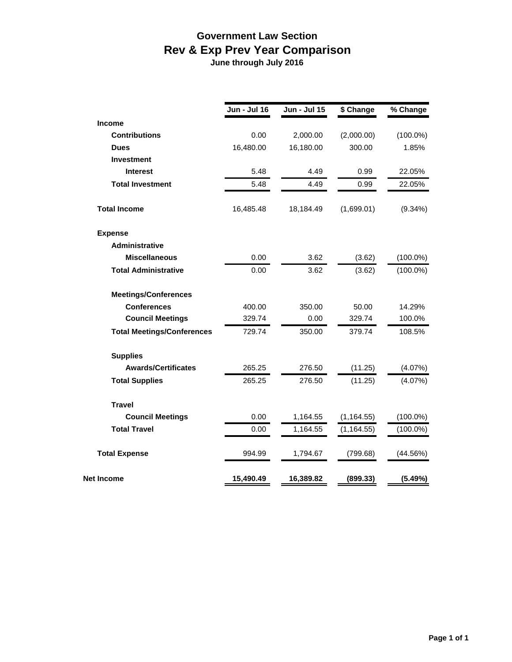## **Government Law Section Rev & Exp Prev Year Comparison**

 **June through July 2016**

|                                   | <b>Jun - Jul 16</b> |              |             | % Change    |
|-----------------------------------|---------------------|--------------|-------------|-------------|
|                                   |                     | Jun - Jul 15 | \$ Change   |             |
| <b>Income</b>                     |                     |              |             |             |
| <b>Contributions</b>              | 0.00                | 2,000.00     | (2,000.00)  | $(100.0\%)$ |
| <b>Dues</b>                       | 16,480.00           | 16,180.00    | 300.00      | 1.85%       |
| <b>Investment</b>                 |                     |              |             |             |
| <b>Interest</b>                   | 5.48                | 4.49         | 0.99        | 22.05%      |
| <b>Total Investment</b>           | 5.48                | 4.49         | 0.99        | 22.05%      |
| <b>Total Income</b>               | 16,485.48           | 18,184.49    | (1,699.01)  | $(9.34\%)$  |
| <b>Expense</b>                    |                     |              |             |             |
| Administrative                    |                     |              |             |             |
| <b>Miscellaneous</b>              | 0.00                | 3.62         | (3.62)      | $(100.0\%)$ |
| <b>Total Administrative</b>       | 0.00                | 3.62         | (3.62)      | $(100.0\%)$ |
| <b>Meetings/Conferences</b>       |                     |              |             |             |
| <b>Conferences</b>                | 400.00              | 350.00       | 50.00       | 14.29%      |
| <b>Council Meetings</b>           | 329.74              | 0.00         | 329.74      | 100.0%      |
| <b>Total Meetings/Conferences</b> | 729.74              | 350.00       | 379.74      | 108.5%      |
| <b>Supplies</b>                   |                     |              |             |             |
| <b>Awards/Certificates</b>        | 265.25              | 276.50       | (11.25)     | (4.07%)     |
| <b>Total Supplies</b>             | 265.25              | 276.50       | (11.25)     | (4.07%)     |
| <b>Travel</b>                     |                     |              |             |             |
| <b>Council Meetings</b>           | 0.00                | 1,164.55     | (1, 164.55) | $(100.0\%)$ |
| <b>Total Travel</b>               | 0.00                | 1,164.55     | (1, 164.55) | $(100.0\%)$ |
| <b>Total Expense</b>              | 994.99              | 1,794.67     | (799.68)    | (44.56%)    |
| <b>Net Income</b>                 | 15,490.49           | 16,389.82    | (899.33)    | (5.49%)     |